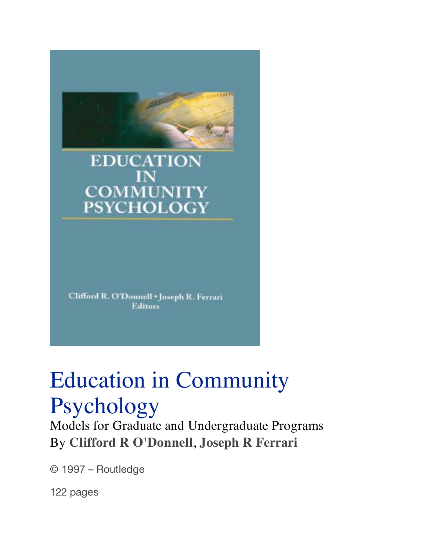**EDUCATION COMMUNITY PSYCHOLOGY** 

trein

Clifford R. O'Donnell . Joseph R. Ferrari **Editors** 

## Education in Community Psychology

Models for Graduate and Undergraduate Programs By **Clifford R O'Donnell**, **Joseph R Ferrari**

© 1997 – Routledge

122 pages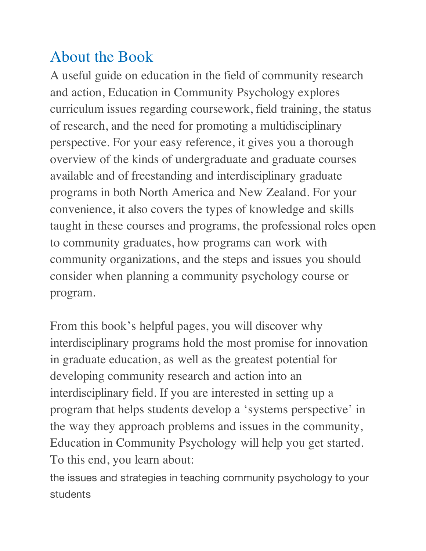## About the Book

A useful guide on education in the field of community research and action, Education in Community Psychology explores curriculum issues regarding coursework, field training, the status of research, and the need for promoting a multidisciplinary perspective. For your easy reference, it gives you a thorough overview of the kinds of undergraduate and graduate courses available and of freestanding and interdisciplinary graduate programs in both North America and New Zealand. For your convenience, it also covers the types of knowledge and skills taught in these courses and programs, the professional roles open to community graduates, how programs can work with community organizations, and the steps and issues you should consider when planning a community psychology course or program.

From this book's helpful pages, you will discover why interdisciplinary programs hold the most promise for innovation in graduate education, as well as the greatest potential for developing community research and action into an interdisciplinary field. If you are interested in setting up a program that helps students develop a 'systems perspective' in the way they approach problems and issues in the community, Education in Community Psychology will help you get started. To this end, you learn about:

the issues and strategies in teaching community psychology to your students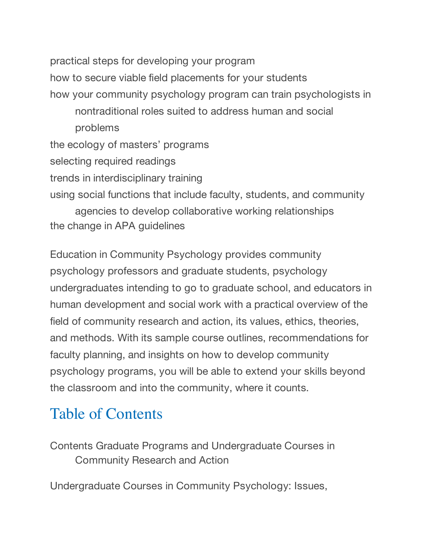practical steps for developing your program how to secure viable field placements for your students how your community psychology program can train psychologists in nontraditional roles suited to address human and social problems the ecology of masters' programs selecting required readings trends in interdisciplinary training using social functions that include faculty, students, and community agencies to develop collaborative working relationships the change in APA guidelines

Education in Community Psychology provides community psychology professors and graduate students, psychology undergraduates intending to go to graduate school, and educators in human development and social work with a practical overview of the field of community research and action, its values, ethics, theories, and methods. With its sample course outlines, recommendations for faculty planning, and insights on how to develop community psychology programs, you will be able to extend your skills beyond the classroom and into the community, where it counts.

## Table of Contents

Contents Graduate Programs and Undergraduate Courses in Community Research and Action

Undergraduate Courses in Community Psychology: Issues,